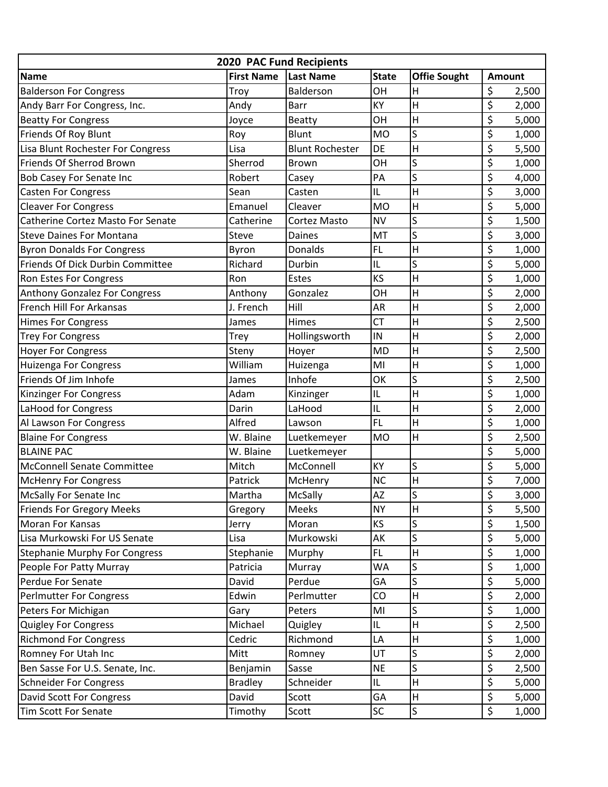| 2020 PAC Fund Recipients                 |                   |                        |                                   |                     |                          |       |  |  |  |  |  |
|------------------------------------------|-------------------|------------------------|-----------------------------------|---------------------|--------------------------|-------|--|--|--|--|--|
| <b>Name</b>                              | <b>First Name</b> | Last Name              | <b>State</b>                      | <b>Offie Sought</b> | <b>Amount</b>            |       |  |  |  |  |  |
| <b>Balderson For Congress</b>            | Troy              | Balderson              | OH                                | Н                   | \$                       | 2,500 |  |  |  |  |  |
| Andy Barr For Congress, Inc.             | Andy              | Barr                   | KY                                | Η                   | \$                       | 2,000 |  |  |  |  |  |
| <b>Beatty For Congress</b>               | Joyce             | <b>Beatty</b>          | OH                                | Н                   | \$                       | 5,000 |  |  |  |  |  |
| Friends Of Roy Blunt                     | Roy               | <b>Blunt</b>           | <b>MO</b>                         | S                   | \$                       | 1,000 |  |  |  |  |  |
| Lisa Blunt Rochester For Congress        | Lisa              | <b>Blunt Rochester</b> | <b>DE</b>                         | Η                   | \$                       | 5,500 |  |  |  |  |  |
| Friends Of Sherrod Brown                 | Sherrod           | <b>Brown</b>           | OH                                | S                   | \$                       | 1,000 |  |  |  |  |  |
| <b>Bob Casey For Senate Inc</b>          | Robert            | Casey                  | PA                                | S                   | \$                       | 4,000 |  |  |  |  |  |
| <b>Casten For Congress</b>               | Sean              | Casten                 | IL                                | Η                   | \$                       | 3,000 |  |  |  |  |  |
| <b>Cleaver For Congress</b>              | Emanuel           | Cleaver                | <b>MO</b>                         | $\mathsf{H}$        | \$                       | 5,000 |  |  |  |  |  |
| <b>Catherine Cortez Masto For Senate</b> | Catherine         | Cortez Masto           | <b>NV</b>                         | S                   | \$                       | 1,500 |  |  |  |  |  |
| <b>Steve Daines For Montana</b>          | Steve             | Daines                 | MT                                | S                   | \$                       | 3,000 |  |  |  |  |  |
| <b>Byron Donalds For Congress</b>        | Byron             | <b>Donalds</b>         | <b>FL</b>                         | Η                   | \$                       | 1,000 |  |  |  |  |  |
| Friends Of Dick Durbin Committee         | Richard           | Durbin                 | IL                                | S                   | \$                       | 5,000 |  |  |  |  |  |
| Ron Estes For Congress                   | Ron               | Estes                  | <b>KS</b>                         | Η                   | \$                       | 1,000 |  |  |  |  |  |
| <b>Anthony Gonzalez For Congress</b>     | Anthony           | Gonzalez               | OH                                | Η                   | \$                       | 2,000 |  |  |  |  |  |
| French Hill For Arkansas                 | J. French         | Hill                   | AR                                | Η                   | \$                       | 2,000 |  |  |  |  |  |
| <b>Himes For Congress</b>                | James             | Himes                  | <b>CT</b>                         | Η                   | \$                       | 2,500 |  |  |  |  |  |
| <b>Trey For Congress</b>                 | <b>Trey</b>       | Hollingsworth          | IN                                | Η                   | \$                       | 2,000 |  |  |  |  |  |
| <b>Hoyer For Congress</b>                | Steny             | Hoyer                  | <b>MD</b>                         | Η                   | \$                       | 2,500 |  |  |  |  |  |
| Huizenga For Congress                    | William           | Huizenga               | MI                                | Η                   | \$                       | 1,000 |  |  |  |  |  |
| Friends Of Jim Inhofe                    | James             | Inhofe                 | OK                                | S                   | \$                       | 2,500 |  |  |  |  |  |
| Kinzinger For Congress                   | Adam              | Kinzinger              | IL                                | Н                   | \$                       | 1,000 |  |  |  |  |  |
| LaHood for Congress                      | Darin             | LaHood                 | IL                                | Η                   | \$                       | 2,000 |  |  |  |  |  |
| Al Lawson For Congress                   | Alfred            | Lawson                 | <b>FL</b>                         | Η                   | \$                       | 1,000 |  |  |  |  |  |
| <b>Blaine For Congress</b>               | W. Blaine         | Luetkemeyer            | <b>MO</b>                         | H                   | \$                       | 2,500 |  |  |  |  |  |
| <b>BLAINE PAC</b>                        | W. Blaine         | Luetkemeyer            |                                   |                     | \$                       | 5,000 |  |  |  |  |  |
| <b>McConnell Senate Committee</b>        | Mitch             | McConnell              | <b>KY</b>                         | S                   | \$                       | 5,000 |  |  |  |  |  |
| <b>McHenry For Congress</b>              | Patrick           | McHenry                | <b>NC</b>                         | Н                   | \$                       | 7,000 |  |  |  |  |  |
| McSally For Senate Inc                   | Martha            | McSally                | <b>AZ</b>                         | $\mathsf{S}$        | \$                       | 3,000 |  |  |  |  |  |
| <b>Friends For Gregory Meeks</b>         | Gregory           | Meeks                  | <b>NY</b>                         | H                   | \$                       | 5,500 |  |  |  |  |  |
| Moran For Kansas                         | Jerry             | Moran                  | <b>KS</b>                         | S                   | \$                       | 1,500 |  |  |  |  |  |
| Lisa Murkowski For US Senate             | Lisa              | Murkowski              | AK                                | S                   | $\overline{\varsigma}$   | 5,000 |  |  |  |  |  |
| <b>Stephanie Murphy For Congress</b>     | Stephanie         | Murphy                 | FL.                               | Н                   | \$                       | 1,000 |  |  |  |  |  |
| People For Patty Murray                  | Patricia          | Murray                 | <b>WA</b>                         | S                   | \$                       | 1,000 |  |  |  |  |  |
| Perdue For Senate                        | David             | Perdue                 | GA                                | S                   | \$                       | 5,000 |  |  |  |  |  |
| <b>Perlmutter For Congress</b>           | Edwin             | Perlmutter             | CO                                | Н                   | \$                       | 2,000 |  |  |  |  |  |
| Peters For Michigan                      | Gary              | Peters                 | MI                                | S                   | \$                       | 1,000 |  |  |  |  |  |
| <b>Quigley For Congress</b>              | Michael           | Quigley                | $\ensuremath{\mathsf{IL}}\xspace$ | Н                   | \$                       | 2,500 |  |  |  |  |  |
| <b>Richmond For Congress</b>             | Cedric            | Richmond               | LA                                | Н                   | \$                       | 1,000 |  |  |  |  |  |
| Romney For Utah Inc                      | Mitt              | Romney                 | UT                                | S                   | \$                       | 2,000 |  |  |  |  |  |
| Ben Sasse For U.S. Senate, Inc.          | Benjamin          | Sasse                  | <b>NE</b>                         | S                   | \$                       | 2,500 |  |  |  |  |  |
| <b>Schneider For Congress</b>            | <b>Bradley</b>    | Schneider              | IL                                | Н                   | \$                       | 5,000 |  |  |  |  |  |
| David Scott For Congress                 | David             | Scott                  | GA                                | Н                   | $\overline{\mathcal{S}}$ | 5,000 |  |  |  |  |  |
| Tim Scott For Senate                     | Timothy           | Scott                  | <b>SC</b>                         | $\mathsf S$         | \$                       | 1,000 |  |  |  |  |  |